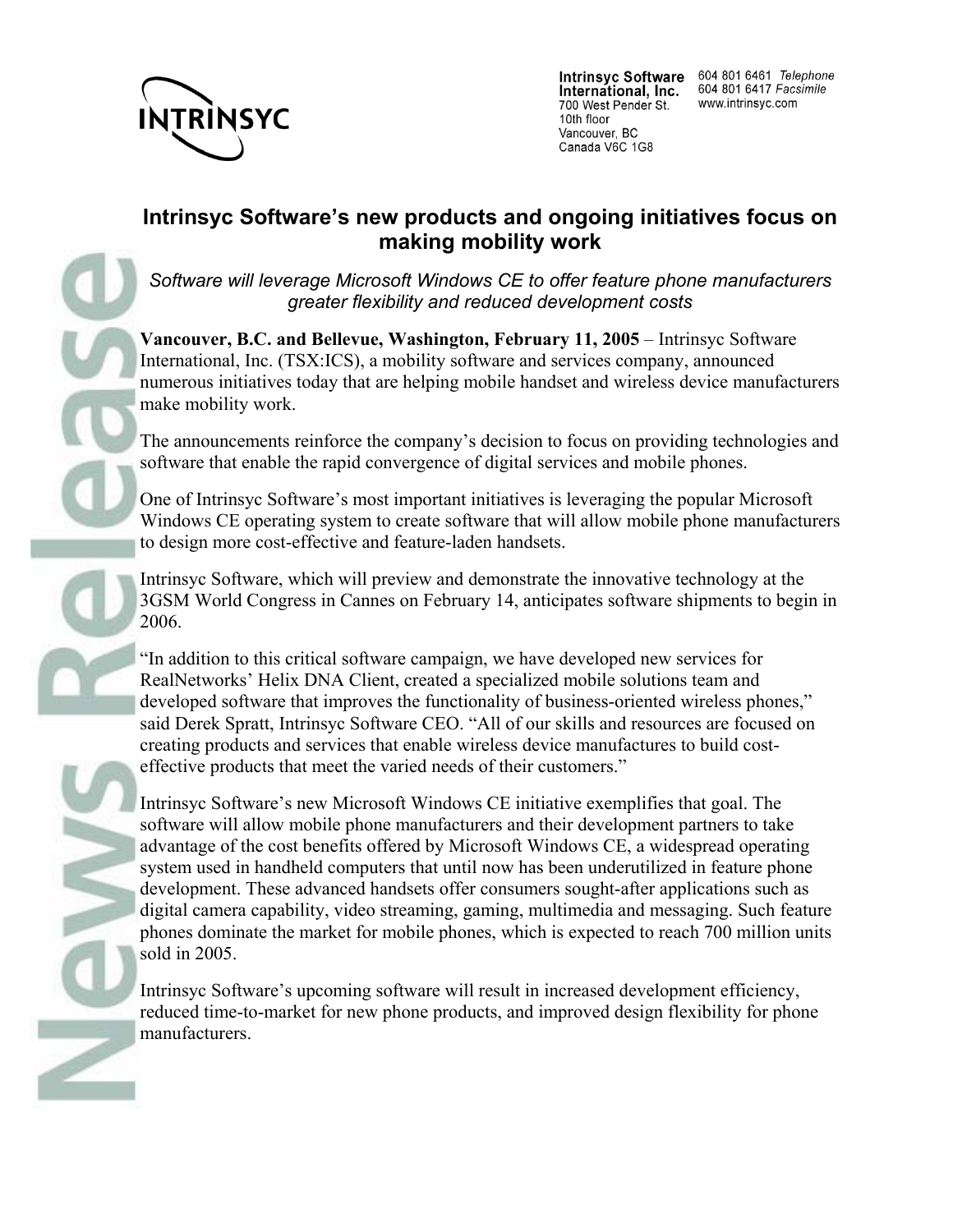

International, Inc. 700 West Pender St. 10th floor Vancouver, BC Canada V6C 1G8

## **Intrinsyc Software's new products and ongoing initiatives focus on making mobility work**

*Software will leverage Microsoft Windows CE to offer feature phone manufacturers greater flexibility and reduced development costs*

**Vancouver, B.C. and Bellevue, Washington, February 11, 2005** – Intrinsyc Software International, Inc. (TSX:ICS), a mobility software and services company, announced numerous initiatives today that are helping mobile handset and wireless device manufacturers make mobility work.

The announcements reinforce the company's decision to focus on providing technologies and software that enable the rapid convergence of digital services and mobile phones.

One of Intrinsyc Software's most important initiatives is leveraging the popular Microsoft Windows CE operating system to create software that will allow mobile phone manufacturers to design more cost-effective and feature-laden handsets.

Intrinsyc Software, which will preview and demonstrate the innovative technology at the 3GSM World Congress in Cannes on February 14, anticipates software shipments to begin in 2006.

"In addition to this critical software campaign, we have developed new services for RealNetworks' Helix DNA Client, created a specialized mobile solutions team and developed software that improves the functionality of business-oriented wireless phones," said Derek Spratt, Intrinsyc Software CEO. "All of our skills and resources are focused on creating products and services that enable wireless device manufactures to build costeffective products that meet the varied needs of their customers."

Intrinsyc Software's new Microsoft Windows CE initiative exemplifies that goal. The software will allow mobile phone manufacturers and their development partners to take advantage of the cost benefits offered by Microsoft Windows CE, a widespread operating system used in handheld computers that until now has been underutilized in feature phone development. These advanced handsets offer consumers sought-after applications such as digital camera capability, video streaming, gaming, multimedia and messaging. Such feature phones dominate the market for mobile phones, which is expected to reach 700 million units sold in 2005.

Intrinsyc Software's upcoming software will result in increased development efficiency, reduced time-to-market for new phone products, and improved design flexibility for phone manufacturers.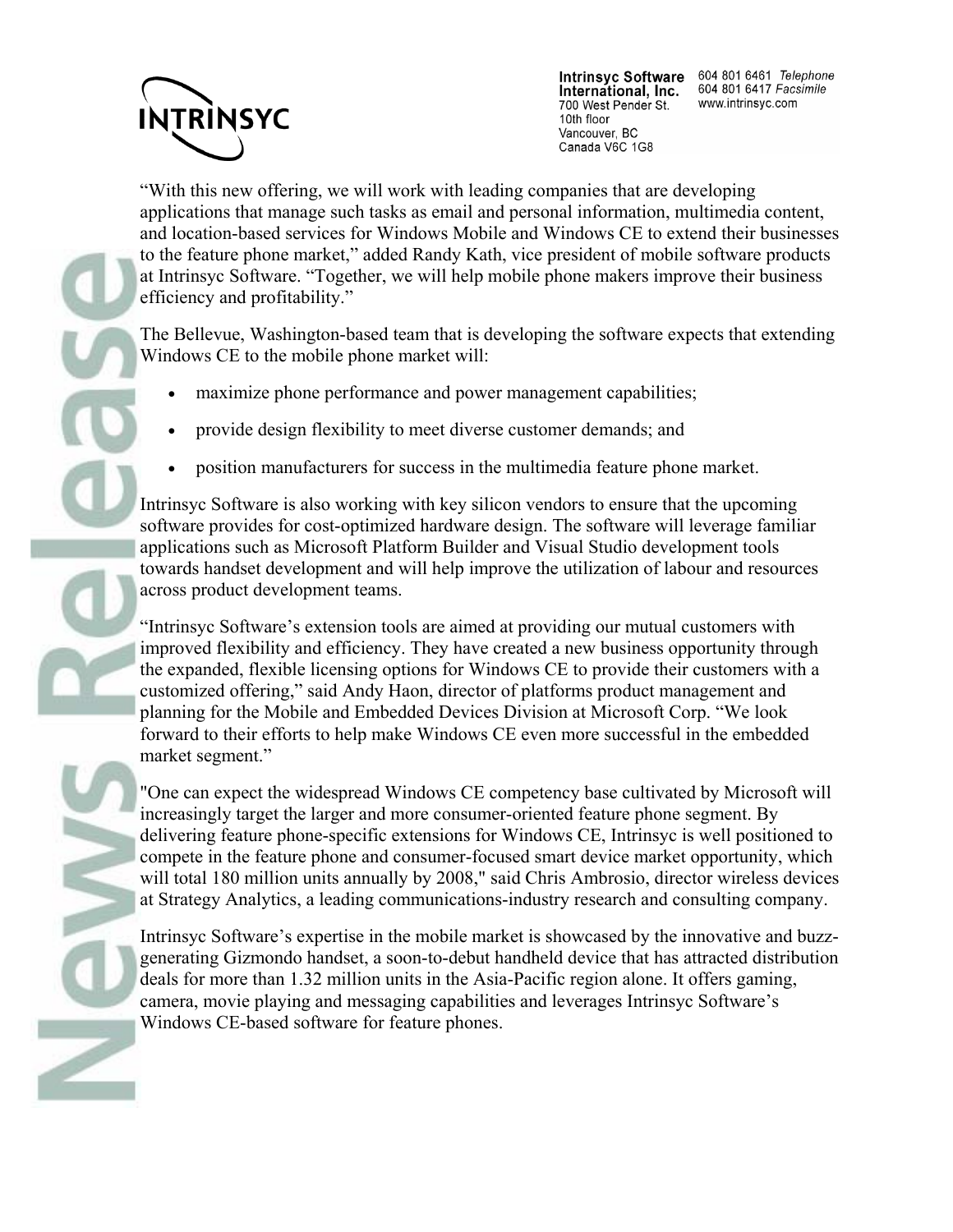## **INTRINSYC**

International, Inc. 700 West Pender St. 10th floor Vancouver, BC Canada V6C 1G8

Intrinsyc Software 604 801 6461 Telephone 604 801 6417 Facsimile www.intrinsyc.com

"With this new offering, we will work with leading companies that are developing applications that manage such tasks as email and personal information, multimedia content, and location-based services for Windows Mobile and Windows CE to extend their businesses to the feature phone market," added Randy Kath, vice president of mobile software products at Intrinsyc Software. "Together, we will help mobile phone makers improve their business efficiency and profitability."

The Bellevue, Washington-based team that is developing the software expects that extending Windows CE to the mobile phone market will:

- maximize phone performance and power management capabilities;
- provide design flexibility to meet diverse customer demands; and
- position manufacturers for success in the multimedia feature phone market.

Intrinsyc Software is also working with key silicon vendors to ensure that the upcoming software provides for cost-optimized hardware design. The software will leverage familiar applications such as Microsoft Platform Builder and Visual Studio development tools towards handset development and will help improve the utilization of labour and resources across product development teams.

"Intrinsyc Software's extension tools are aimed at providing our mutual customers with improved flexibility and efficiency. They have created a new business opportunity through the expanded, flexible licensing options for Windows CE to provide their customers with a customized offering," said Andy Haon, director of platforms product management and planning for the Mobile and Embedded Devices Division at Microsoft Corp. "We look forward to their efforts to help make Windows CE even more successful in the embedded market segment."

"One can expect the widespread Windows CE competency base cultivated by Microsoft will increasingly target the larger and more consumer-oriented feature phone segment. By delivering feature phone-specific extensions for Windows CE, Intrinsyc is well positioned to compete in the feature phone and consumer-focused smart device market opportunity, which will total 180 million units annually by 2008," said Chris Ambrosio, director wireless devices at Strategy Analytics, a leading communications-industry research and consulting company.

Intrinsyc Software's expertise in the mobile market is showcased by the innovative and buzzgenerating Gizmondo handset, a soon-to-debut handheld device that has attracted distribution deals for more than 1.32 million units in the Asia-Pacific region alone. It offers gaming, camera, movie playing and messaging capabilities and leverages Intrinsyc Software's Windows CE-based software for feature phones.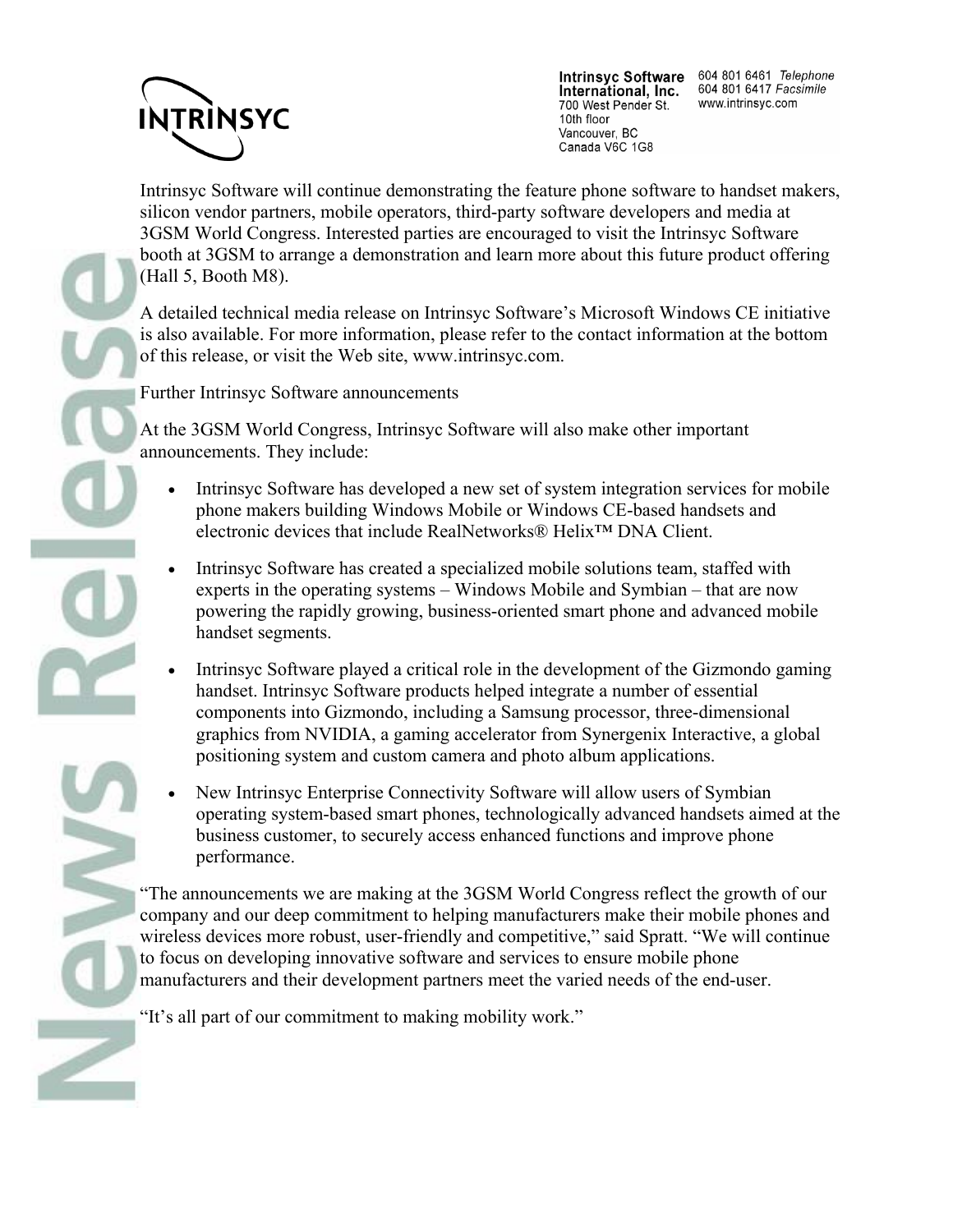

International, Inc. 700 West Pender St. 10th floor Vancouver, BC Canada V6C 1G8

Intrinsyc Software 604 801 6461 Telephone 604 801 6417 Facsimile www.intrinsyc.com

Intrinsyc Software will continue demonstrating the feature phone software to handset makers, silicon vendor partners, mobile operators, third-party software developers and media at 3GSM World Congress. Interested parties are encouraged to visit the Intrinsyc Software booth at 3GSM to arrange a demonstration and learn more about this future product offering (Hall 5, Booth M8).

A detailed technical media release on Intrinsyc Software's Microsoft Windows CE initiative is also available. For more information, please refer to the contact information at the bottom of this release, or visit the Web site, www.intrinsyc.com.

Further Intrinsyc Software announcements

At the 3GSM World Congress, Intrinsyc Software will also make other important announcements. They include:

- Intrinsyc Software has developed a new set of system integration services for mobile phone makers building Windows Mobile or Windows CE-based handsets and electronic devices that include RealNetworks® Helix™ DNA Client.
- Intrinsyc Software has created a specialized mobile solutions team, staffed with experts in the operating systems – Windows Mobile and Symbian – that are now powering the rapidly growing, business-oriented smart phone and advanced mobile handset segments.
- Intrinsyc Software played a critical role in the development of the Gizmondo gaming handset. Intrinsyc Software products helped integrate a number of essential components into Gizmondo, including a Samsung processor, three-dimensional graphics from NVIDIA, a gaming accelerator from Synergenix Interactive, a global positioning system and custom camera and photo album applications.
- New Intrinsyc Enterprise Connectivity Software will allow users of Symbian operating system-based smart phones, technologically advanced handsets aimed at the business customer, to securely access enhanced functions and improve phone performance.

"The announcements we are making at the 3GSM World Congress reflect the growth of our company and our deep commitment to helping manufacturers make their mobile phones and wireless devices more robust, user-friendly and competitive," said Spratt. "We will continue to focus on developing innovative software and services to ensure mobile phone manufacturers and their development partners meet the varied needs of the end-user.

"It's all part of our commitment to making mobility work."